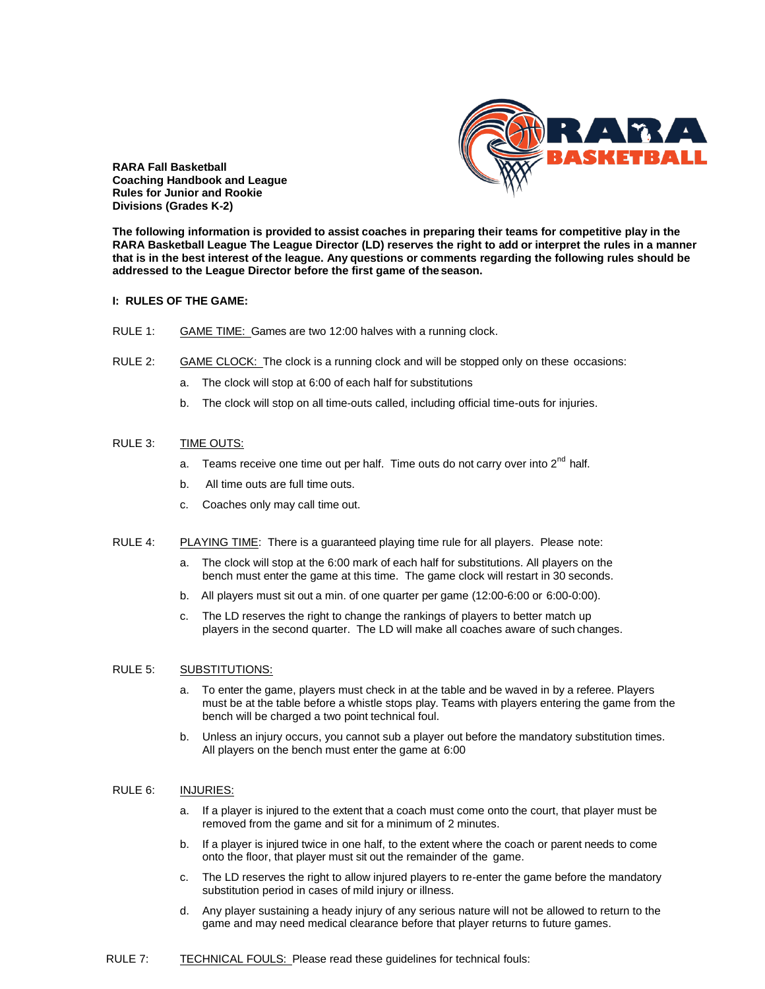

**RARA Fall Basketball Coaching Handbook and League Rules for Junior and Rookie Divisions (Grades K-2)**

**The following information is provided to assist coaches in preparing their teams for competitive play in the RARA Basketball League The League Director (LD) reserves the right to add or interpret the rules in a manner that is in the best interest of the league. Any questions or comments regarding the following rules should be addressed to the League Director before the first game of theseason.**

### **I: RULES OF THE GAME:**

- RULE 1: GAME TIME: Games are two 12:00 halves with a running clock.
- RULE 2: GAME CLOCK: The clock is a running clock and will be stopped only on these occasions:
	- a. The clock will stop at 6:00 of each half for substitutions
	- b. The clock will stop on all time-outs called, including official time-outs for injuries.

## RULE 3: TIME OUTS:

- a. Teams receive one time out per half. Time outs do not carry over into  $2^{nd}$  half.
- b. All time outs are full time outs.
- c. Coaches only may call time out.
- RULE 4: PLAYING TIME: There is a guaranteed playing time rule for all players. Please note:
	- a. The clock will stop at the 6:00 mark of each half for substitutions. All players on the bench must enter the game at this time. The game clock will restart in 30 seconds.
	- b. All players must sit out a min. of one quarter per game (12:00-6:00 or 6:00-0:00).
	- c. The LD reserves the right to change the rankings of players to better match up players in the second quarter. The LD will make all coaches aware of such changes.

## RULE 5: SUBSTITUTIONS:

- a. To enter the game, players must check in at the table and be waved in by a referee. Players must be at the table before a whistle stops play. Teams with players entering the game from the bench will be charged a two point technical foul.
- b. Unless an injury occurs, you cannot sub a player out before the mandatory substitution times. All players on the bench must enter the game at 6:00

## RULE 6: INJURIES:

- a. If a player is injured to the extent that a coach must come onto the court, that player must be removed from the game and sit for a minimum of 2 minutes.
- b. If a player is injured twice in one half, to the extent where the coach or parent needs to come onto the floor, that player must sit out the remainder of the game.
- c. The LD reserves the right to allow injured players to re-enter the game before the mandatory substitution period in cases of mild injury or illness.
- d. Any player sustaining a heady injury of any serious nature will not be allowed to return to the game and may need medical clearance before that player returns to future games.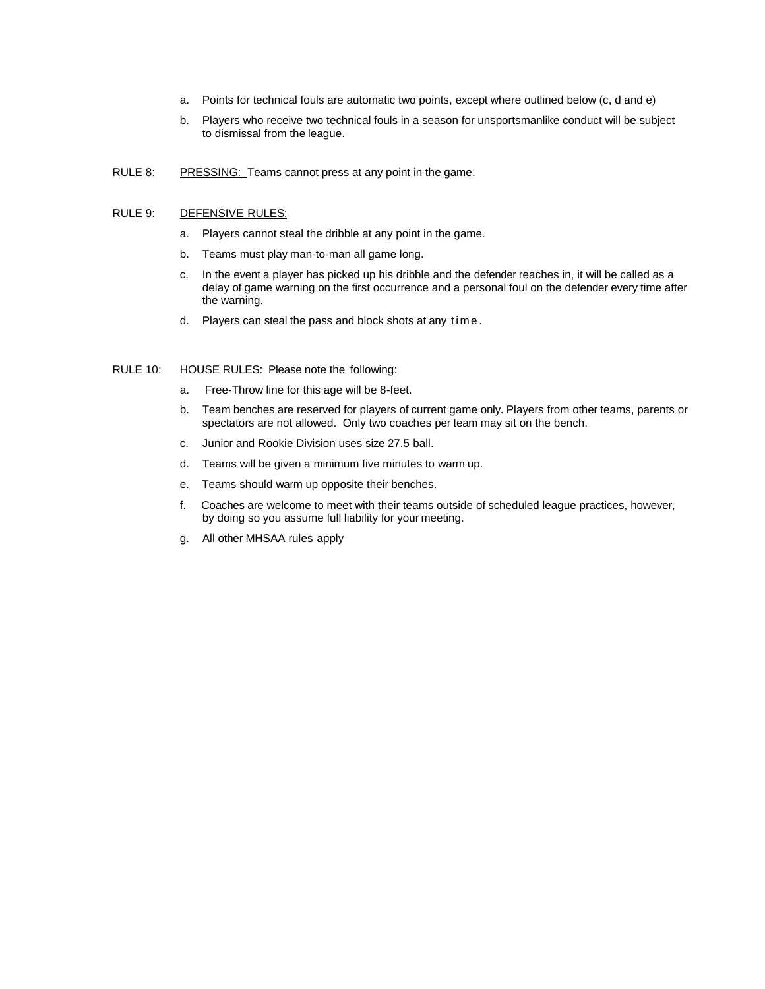- a. Points for technical fouls are automatic two points, except where outlined below (c, d and e)
- b. Players who receive two technical fouls in a season for unsportsmanlike conduct will be subject to dismissal from the league.
- RULE 8: PRESSING: Teams cannot press at any point in the game.

# RULE 9: DEFENSIVE RULES:

- a. Players cannot steal the dribble at any point in the game.
- b. Teams must play man-to-man all game long.
- c. In the event a player has picked up his dribble and the defender reaches in, it will be called as a delay of game warning on the first occurrence and a personal foul on the defender every time after the warning.
- d. Players can steal the pass and block shots at any time.

### RULE 10: HOUSE RULES: Please note the following:

- a. Free-Throw line for this age will be 8-feet.
- b. Team benches are reserved for players of current game only. Players from other teams, parents or spectators are not allowed. Only two coaches per team may sit on the bench.
- c. Junior and Rookie Division uses size 27.5 ball.
- d. Teams will be given a minimum five minutes to warm up.
- e. Teams should warm up opposite their benches.
- f. Coaches are welcome to meet with their teams outside of scheduled league practices, however, by doing so you assume full liability for your meeting.
- g. All other MHSAA rules apply